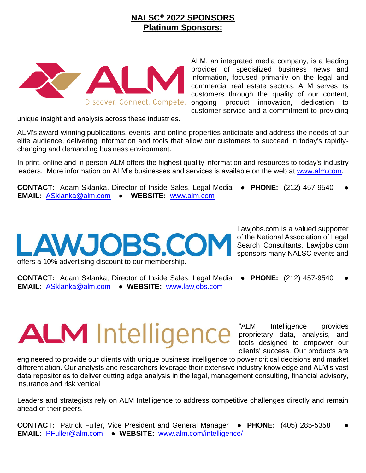### **NALSC® 2022 SPONSORS Platinum Sponsors:**



unique insight and analysis across these industries.

ALM's award-winning publications, events, and online properties anticipate and address the needs of our elite audience, delivering information and tools that allow our customers to succeed in today's rapidlychanging and demanding business environment.

In print, online and in person-ALM offers the highest quality information and resources to today's industry leaders. More information on ALM's businesses and services is available on the web at [www.alm.com.](http://www.alm.com/)

**CONTACT:** Adam Sklanka, Director of Inside Sales, Legal Media ● **PHONE:** (212) 457-9540 ● **EMAIL:** [ASklanka@alm.com](mailto:ASklanka@alm.com) ● **WEBSITE:** [www.alm.com](http://www.alm.com/)

## LAWJOBS.CO offers a 10% advertising discount to our membership.

Lawjobs.com is a valued supporter of the National Association of Legal Search Consultants. Lawjobs.com sponsors many NALSC events and

**CONTACT:** Adam Sklanka, Director of Inside Sales, Legal Media ● **PHONE:** (212) 457-9540 ● **EMAIL:** [ASklanka@alm.com](mailto:ASklanka@alm.com) ● **WEBSITE:** [www.lawjobs.com](http://www.lawjobs.com/)

# **ALM** Intelligence

"ALM Intelligence provides proprietary data, analysis, and tools designed to empower our clients' success. Our products are

engineered to provide our clients with unique business intelligence to power critical decisions and market differentiation. Our analysts and researchers leverage their extensive industry knowledge and ALM's vast data repositories to deliver cutting edge analysis in the legal, management consulting, financial advisory, insurance and risk vertical

Leaders and strategists rely on ALM Intelligence to address competitive challenges directly and remain ahead of their peers."

**CONTACT:** Patrick Fuller, Vice President and General Manager ● **PHONE:** (405) 285-5358 ● **EMAIL:** [PFuller@alm.com](mailto:PFuller@alm.com) ● **WEBSITE:** [www.alm.com/intelligence/](http://www.alm.com/intelligence/)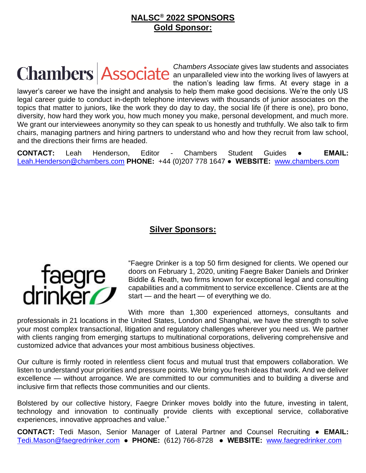### **NALSC® 2022 SPONSORS Gold Sponsor:**

*Chambers Associate* gives law students and associates an unparalleled view into the working lives of lawyers at the nation's leading law firms. At every stage in a lawyer's career we have the insight and analysis to help them make good decisions. We're the only US legal career guide to conduct in-depth telephone interviews with thousands of junior associates on the topics that matter to juniors, like the work they do day to day, the social life (if there is one), pro bono, diversity, how hard they work you, how much money you make, personal development, and much more. We grant our interviewees anonymity so they can speak to us honestly and truthfully. We also talk to firm chairs, managing partners and hiring partners to understand who and how they recruit from law school, and the directions their firms are headed.

**CONTACT:** Leah Henderson, Editor - Chambers Student Guides **● EMAIL:** [Leah.Henderson@chambers.com](mailto:Leah.Henderson@chambers.com) **PHONE:** +44 (0)207 778 1647 **● WEBSITE:** [www.chambers.com](http://www.chambers.com/)

### **Silver Sponsors:**



"Faegre Drinker is a top 50 firm designed for clients. We opened our doors on February 1, 2020, uniting Faegre Baker Daniels and Drinker Biddle & Reath, two firms known for exceptional legal and consulting capabilities and a commitment to service excellence. Clients are at the start — and the heart — of everything we do.

With more than 1,300 experienced attorneys, consultants and professionals in 21 locations in the United States, London and Shanghai, we have the strength to solve your most complex transactional, litigation and regulatory challenges wherever you need us. We partner with clients ranging from emerging startups to multinational corporations, delivering comprehensive and customized advice that advances your most ambitious business objectives.

Our culture is firmly rooted in relentless client focus and mutual trust that empowers collaboration. We listen to understand your priorities and pressure points. We bring you fresh ideas that work. And we deliver excellence — without arrogance. We are committed to our communities and to building a diverse and inclusive firm that reflects those communities and our clients.

Bolstered by our collective history, Faegre Drinker moves boldly into the future, investing in talent, technology and innovation to continually provide clients with exceptional service, collaborative experiences, innovative approaches and value."

**CONTACT:** Tedi Mason, Senior Manager of Lateral Partner and Counsel Recruiting **● EMAIL:** [Tedi.Mason@faegredrinker.com](mailto:Tedi.Mason@faegredrinker.com) **● PHONE:** (612) 766-8728 **● WEBSITE:** [www.faegredrinker.com](http://www.faegredrinker.com/)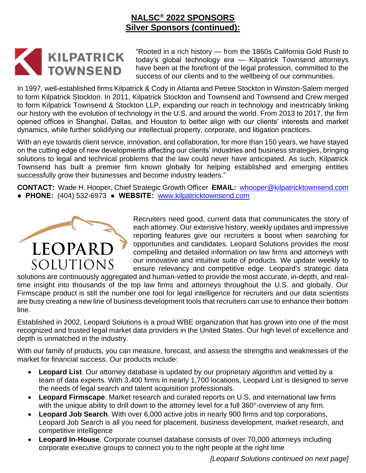### **NALSC® 2022 SPONSORS Silver Sponsors (continued):**



"Rooted in a rich history — from the 1860s California Gold Rush to today's global technology era — Kilpatrick Townsend attorneys have been at the forefront of the legal profession, committed to the success of our clients and to the wellbeing of our communities.

In 1997, well-established firms Kilpatrick & Cody in Atlanta and Petree Stockton in Winston-Salem merged to form Kilpatrick Stockton. In 2011, Kilpatrick Stockton and Townsend and Townsend and Crew merged to form Kilpatrick Townsend & Stockton LLP, expanding our reach in technology and inextricably linking our history with the evolution of technology in the U.S. and around the world. From 2013 to 2017, the firm opened offices in Shanghai, Dallas, and Houston to better align with our clients' interests and market dynamics, while further solidifying our intellectual property, corporate, and litigation practices.

With an eye towards client service, innovation, and collaboration, for more than 150 years, we have stayed on the cutting edge of new developments affecting our clients' industries and business strategies, bringing solutions to legal and technical problems that the law could never have anticipated. As such, Kilpatrick Townsend has built a premier firm known globally for helping established and emerging entities successfully grow their businesses and become industry leaders."

**CONTACT:** Wade H. Hooper, Chief Strategic Growth Officer **EMAIL:** [whooper@kilpatricktownsend.com](mailto:whooper@kilpatricktownsend.com)  **● PHONE:** (404) 532-6973 **● WEBSITE:** [www.kilpatricktownsend.com](http://www.kilpatricktownsend.com/)



Recruiters need good, current data that communicates the story of each attorney. Our extensive history, weekly updates and impressive reporting features give our recruiters a boost when searching for opportunities and candidates. Leopard Solutions provides the most compelling and detailed information on law firms and attorneys with our innovative and intuitive suite of products. We update weekly to ensure relevancy and competitive edge. Leopard's strategic data

solutions are continuously aggregated and human-vetted to provide the most accurate, in-depth, and realtime insight into thousands of the top law firms and attorneys throughout the U.S. and globally. Our Firmscape product is still the number one tool for legal intelligence for recruiters and our data scientists are busy creating a new line of business development tools that recruiters can use to enhance their bottom line.

Established in 2002, Leopard Solutions is a proud WBE organization that has grown into one of the most recognized and trusted legal market data providers in the United States. Our high level of excellence and depth is unmatched in the industry.

With our family of products, you can measure, forecast, and assess the strengths and weaknesses of the market for financial success. Our products include:

- **Leopard List**. Our attorney database is updated by our proprietary algorithm and vetted by a team of data experts. With 3,400 firms in nearly 1,700 locations, Leopard List is designed to serve the needs of legal search and talent acquisition professionals.
- **Leopard Firmscape**. Market research and curated reports on U.S. and international law firms with the unique ability to drill down to the attorney level for a full 360°-overview of any firm.
- **Leopard Job Search**. With over 6,000 active jobs in nearly 900 firms and top corporations, Leopard Job Search is all you need for placement, business development, market research, and competitive intelligence
- **Leopard In-House**. Corporate counsel database consists of over 70,000 attorneys including corporate executive groups to connect you to the right people at the right time

*[Leopard Solutions continued on next page]*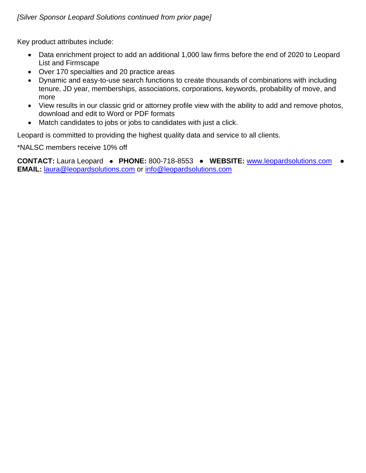### *[Silver Sponsor Leopard Solutions continued from prior page]*

Key product attributes include:

- Data enrichment project to add an additional 1,000 law firms before the end of 2020 to Leopard List and Firmscape
- Over 170 specialties and 20 practice areas
- Dynamic and easy-to-use search functions to create thousands of combinations with including tenure, JD year, memberships, associations, corporations, keywords, probability of move, and more
- View results in our classic grid or attorney profile view with the ability to add and remove photos, download and edit to Word or PDF formats
- Match candidates to jobs or jobs to candidates with just a click.

Leopard is committed to providing the highest quality data and service to all clients.

\*NALSC members receive 10% off

**CONTACT:** Laura Leopard ● **PHONE:** 800-718-8553 ● **WEBSITE:** [www.leopardsolutions.com](http://www.leopardsolutions.com/) ● **EMAIL:** [laura@leopardsolutions.com](mailto:laura@leopardsolutions.com) or [info@leopardsolutions.com](mailto:info@leopardsolutions.com)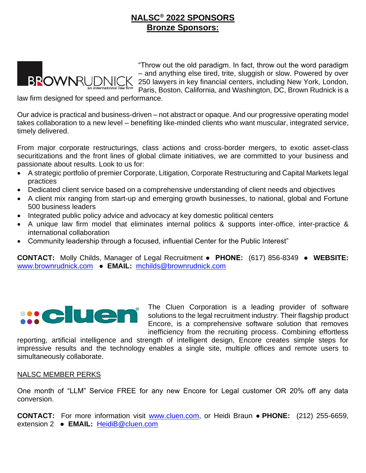### **NALSC® 2022 SPONSORS Bronze Sponsors:**



law firm designed for speed and performance.

Our advice is practical and business-driven – not abstract or opaque. And our progressive operating model takes collaboration to a new level – benefiting like-minded clients who want muscular, integrated service, timely delivered.

From major corporate restructurings, class actions and cross-border mergers, to exotic asset-class securitizations and the front lines of global climate initiatives, we are committed to your business and passionate about results. Look to us for:

- A strategic portfolio of premier Corporate, Litigation, Corporate Restructuring and Capital Markets legal practices
- Dedicated client service based on a comprehensive understanding of client needs and objectives
- A client mix ranging from start-up and emerging growth businesses, to national, global and Fortune 500 business leaders
- Integrated public policy advice and advocacy at key domestic political centers
- A unique law firm model that eliminates internal politics & supports inter-office, inter-practice & international collaboration
- Community leadership through a focused, influential Center for the Public Interest"

**CONTACT:** Molly Childs, Manager of Legal Recruitment **● PHONE:** (617) 856-8349 ● **WEBSITE:** [www.brownrudnick.com](http://www.brownrudnick.com/) ● **EMAIL:** [mchilds@brownrudnick.com](mailto:mchilds@brownrudnick.com)



The Cluen Corporation is a leading provider of software solutions to the legal recruitment industry. Their flagship product Encore, is a comprehensive software solution that removes inefficiency from the recruiting process. Combining effortless

reporting, artificial intelligence and strength of intelligent design, Encore creates simple steps for impressive results and the technology enables a single site, multiple offices and remote users to simultaneously collaborate.

#### NALSC MEMBER PERKS

One month of "LLM" Service FREE for any new Encore for Legal customer OR 20% off any data conversion.

**CONTACT:** For more information visit [www.cluen.com,](http://www.cluen.com/) or Heidi Braun ● **PHONE:** (212) 255-6659, extension 2 ● **EMAIL:** [HeidiB@cluen.com](mailto:HeidiB@cluen.com)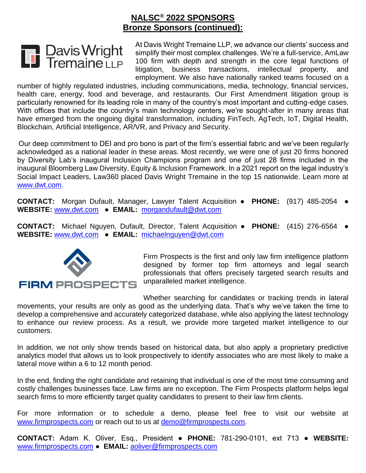

At Davis Wright Tremaine LLP, we advance our clients' success and simplify their most complex challenges. We're a full-service, AmLaw 100 firm with depth and strength in the core legal functions of litigation, business transactions, intellectual property, and employment. We also have nationally ranked teams focused on a

number of highly regulated industries, including communications, media, technology, financial services, health care, energy, food and beverage, and restaurants. Our First Amendment litigation group is particularly renowned for its leading role in many of the country's most important and cutting-edge cases. With offices that include the country's main technology centers, we're sought-after in many areas that have emerged from the ongoing digital transformation, including FinTech, AgTech, IoT, Digital Health, Blockchain, Artificial Intelligence, AR/VR, and Privacy and Security.

Our deep commitment to DEI and pro bono is part of the firm's essential fabric and we've been regularly acknowledged as a national leader in these areas. Most recently, we were one of just 20 firms honored by Diversity Lab's inaugural Inclusion Champions program and one of just 28 firms included in the inaugural Bloomberg Law Diversity, Equity & Inclusion Framework. In a 2021 report on the legal industry's Social Impact Leaders, Law360 placed Davis Wright Tremaine in the top 15 nationwide. Learn more at [www.dwt.com.](www.dwt.com)

**CONTACT:** Morgan Dufault, Manager, Lawyer Talent Acquisition ● **PHONE:** (917) 485-2054 ● **WEBSITE:** [www.dwt.com](http://www.dwt.com/) ● **EMAIL:** [morgandufault@dwt.com](mailto:morgandufault@dwt.com)

**CONTACT:** Michael Nguyen, Dufault, Director, Talent Acquisition ● **PHONE:** (415) 276-6564 ● **WEBSITE:** [www.dwt.com](http://www.dwt.com/) ● **EMAIL:** [michaelnguyen@dwt.com](mailto:michaelnguyen@dwt.com)



Firm Prospects is the first and only law firm intelligence platform designed by former top firm attorneys and legal search professionals that offers precisely targeted search results and

Whether searching for candidates or tracking trends in lateral movements, your results are only as good as the underlying data. That's why we've taken the time to develop a comprehensive and accurately categorized database, while also applying the latest technology to enhance our review process. As a result, we provide more targeted market intelligence to our customers.

In addition, we not only show trends based on historical data, but also apply a proprietary predictive analytics model that allows us to look prospectively to identify associates who are most likely to make a lateral move within a 6 to 12 month period.

In the end, finding the right candidate and retaining that individual is one of the most time consuming and costly challenges businesses face. Law firms are no exception. The Firm Prospects platform helps legal search firms to more efficiently target quality candidates to present to their law firm clients.

For more information or to schedule a demo, please feel free to visit our website at [www.firmprospects.com](http://www.firmprospects.com/) or reach out to us at [demo@firmprospects.com.](mailto:demo@firmprospects.com)

**CONTACT:** Adam K. Oliver, Esq., President ● **PHONE:** 781-290-0101, ext 713 ● **WEBSITE:** [www.firmprospects.com](http://www.firmprospects.com/) ● **EMAIL:** [aoliver@firmprospects.com](mailto:aoliver@firmprospects.com)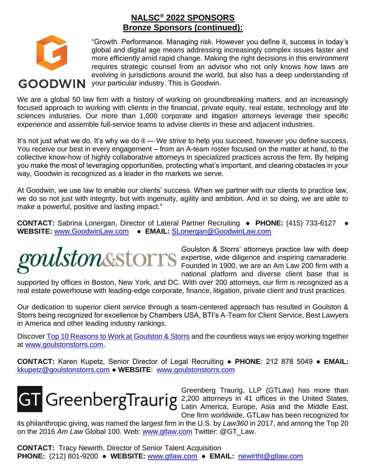

"Growth. Performance. Managing risk. However you define it, success in today's global and digital age means addressing increasingly complex issues faster and more efficiently amid rapid change. Making the right decisions in this environment requires strategic counsel from an advisor who not only knows how laws are evolving in jurisdictions around the world, but also has a deep understanding of **GOODWIN** your particular industry. This is Goodwin.

We are a global 50 law firm with a history of working on groundbreaking matters, and an increasingly focused approach to working with clients in the financial, private equity, real estate, technology and life sciences industries. Our more than 1,000 corporate and litigation attorneys leverage their specific experience and assemble full-service teams to advise clients in these and adjacent industries.

It's not just what we do. It's why we do it — We strive to help you succeed, however you define success. You receive our best in every engagement – from an A-team roster focused on the matter at hand, to the collective know-how of highly collaborative attorneys in specialized practices across the firm. By helping you make the most of leveraging opportunities, protecting what's important, and clearing obstacles in your way, Goodwin is recognized as a leader in the markets we serve.

At Goodwin, we use law to enable our clients' success. When we partner with our clients to practice law, we do so not just with integrity, but with ingenuity, agility and ambition. And in so doing, we are able to make a powerful, positive and lasting impact."

**CONTACT:** Sabrina Lonergan, Director of Lateral Partner Recruiting ● **PHONE:** (415) 733-6127 ● **WEBSITE:** [www.GoodwinLaw.com](http://www.goodwinlaw.com/) ● **EMAIL:** [SLonergan@GoodwinLaw.com](mailto:SLonergan@GoodwinLaw.com)



Goulston & Storrs' attorneys practice law with deep expertise, wide diligence and inspiring camaraderie. Founded in 1900, we are an Am Law 200 firm with a national platform and diverse client base that is

supported by offices in Boston, New York, and DC. With over 200 attorneys, our firm is recognized as a real estate powerhouse with leading-edge corporate, finance, litigation, private client and trust practices.

Our dedication to superior client service through a team-centered approach has resulted in Goulston & Storrs being recognized for excellence by Chambers USA, BTI's A-Team for Client Service, Best Lawyers in America and other leading industry rankings.

Discover [Top 10 Reasons to Work at Goulston & Storrs](https://www.goulstonstorrs.com/top-ten-reasons-to-work-at-goulston-storrs/) and the countless ways we enjoy working together at [www.goulstonstorrs.com.](http://www.goulstonstorrs.com/)

**CONTACT:** Karen Kupetz, Senior Director of Legal Recruiting ● **PHONE**: 212 878 5049 ● **EMAIL:** [kkupetz@goulstonstorrs.com](mailto:kkupetz@goulstonstorrs.com) ● **WEBSITE**: [www.goulstonstorrs.com](http://www.goulstonstorrs.com/)



Greenberg Traurig, LLP (GTLaw) has more than 2,200 attorneys in 41 offices in the United States, Latin America, Europe, Asia and the Middle East. One firm worldwide, GTLaw has been recognized for

its philanthropic giving, was named the largest firm in the U.S. by *Law360* in 2017, and among the Top 20 on the 2016 *Am Law* Global 100. Web: [www.gtlaw.com](http://www.gtlaw.com/) Twitter: @GT\_Law.

**CONTACT:** Tracy Newirth, Director of Senior Talent Acquisition **PHONE:** (212) 801-9200 ● **WEBSITE:** [www.gtlaw.com](http://www.gtlaw.com/) ● **EMAIL:** [newirtht@gtlaw.com](mailto:newirtht@gtlaw.com)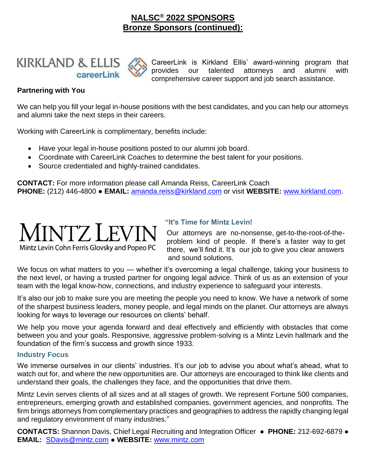

CareerLink is Kirkland Ellis' award-winning program that provides our talented attorneys and alumni with comprehensive career support and job search assistance.

### **Partnering with You**

We can help you fill your legal in-house positions with the best candidates, and you can help our attorneys and alumni take the next steps in their careers.

Working with CareerLink is complimentary, benefits include:

- Have your legal in-house positions posted to our alumni job board.
- Coordinate with CareerLink Coaches to determine the best talent for your positions.
- Source credentialed and highly-trained candidates.

**CONTACT:** For more information please call Amanda Reiss, CareerLink Coach **PHONE:** (212) 446-4800 ● **EMAIL:** [amanda.reiss@kirkland.com](mailto:amanda.reiss@kirkland.com) or visit **WEBSITE:** [www.kirkland.com.](http://www.kirkland.com/)



### Mintz Levin Cohn Ferris Glovsky and Popeo PC

### **"It's Time for Mintz Levin!**

 Our attorneys are no-nonsense, get-to-the-root-of-the problem kind of people. If there's a faster way to get there, we'll find it. It's our job to give you clear answers and sound solutions.

We focus on what matters to you — whether it's overcoming a legal challenge, taking your business to the next level, or having a trusted partner for ongoing legal advice. Think of us as an extension of your team with the legal know-how, connections, and industry experience to safeguard your interests.

It's also our job to make sure you are meeting the people you need to know. We have a network of some of the sharpest business leaders, money people, and legal minds on the planet. Our attorneys are always looking for ways to leverage our resources on clients' behalf.

We help you move your agenda forward and deal effectively and efficiently with obstacles that come between you and your goals. Responsive, aggressive problem-solving is a Mintz Levin hallmark and the foundation of the firm's success and growth since 1933.

### **Industry Focus**

We immerse ourselves in our clients' industries. It's our job to advise you about what's ahead, what to watch out for, and where the new opportunities are. Our attorneys are encouraged to think like clients and understand their goals, the challenges they face, and the opportunities that drive them.

Mintz Levin serves clients of all sizes and at all stages of growth. We represent Fortune 500 companies, entrepreneurs, emerging growth and established companies, government agencies, and nonprofits. The firm brings attorneys from complementary practices and geographies to address the rapidly changing legal and regulatory environment of many industries."

**CONTACTS:** Shannon Davis, Chief Legal Recruiting and Integration Officer ● **PHONE:** 212-692-6879 ● **EMAIL:** [SDavis@mintz.com](mailto:SDavis@mintz.com) ● **WEBSITE:** [www.mintz.com](http://www.mintz.com/)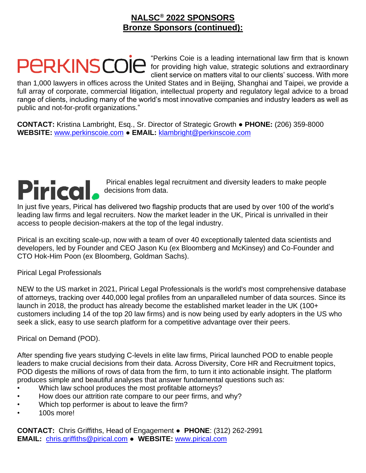

"Perkins Coie is a leading international law firm that is known for providing high value, strategic solutions and extraordinary client service on matters vital to our clients' success. With more

than 1,000 lawyers in offices across the United States and in Beijing, Shanghai and Taipei, we provide a full array of corporate, commercial litigation, intellectual property and regulatory legal advice to a broad range of clients, including many of the world's most innovative companies and industry leaders as well as public and not-for-profit organizations."

**CONTACT:** Kristina Lambright, Esq., Sr. Director of Strategic Growth ● **PHONE:** (206) 359-8000 **WEBSITE:** [www.perkinscoie.com](http://www.perkinscoie.com/) ● **EMAIL:** [klambright@perkinscoie.com](mailto:klambright@perkinscoie.com)



Pirical enables legal recruitment and diversity leaders to make people decisions from data.

In just five years, Pirical has delivered two flagship products that are used by over 100 of the world's leading law firms and legal recruiters. Now the market leader in the UK, Pirical is unrivalled in their access to people decision-makers at the top of the legal industry.

Pirical is an exciting scale-up, now with a team of over 40 exceptionally talented data scientists and developers, led by Founder and CEO Jason Ku (ex Bloomberg and McKinsey) and Co-Founder and CTO Hok-Him Poon (ex Bloomberg, Goldman Sachs).

Pirical Legal Professionals

NEW to the US market in 2021, Pirical Legal Professionals is the world's most comprehensive database of attorneys, tracking over 440,000 legal profiles from an unparalleled number of data sources. Since its launch in 2018, the product has already become the established market leader in the UK (100+ customers including 14 of the top 20 law firms) and is now being used by early adopters in the US who seek a slick, easy to use search platform for a competitive advantage over their peers.

Pirical on Demand (POD).

After spending five years studying C-levels in elite law firms, Pirical launched POD to enable people leaders to make crucial decisions from their data. Across Diversity, Core HR and Recruitment topics, POD digests the millions of rows of data from the firm, to turn it into actionable insight. The platform produces simple and beautiful analyses that answer fundamental questions such as:

- Which law school produces the most profitable attorneys?
- How does our attrition rate compare to our peer firms, and why?
- Which top performer is about to leave the firm?
- 100s more!

**CONTACT:** Chris Griffiths, Head of Engagement ● **PHONE**: (312) 262-2991 **EMAIL:** [chris.griffiths@pirical.com](mailto:chris.griffiths@pirical.com) ● **WEBSITE:** [www.pirical.com](http://www.pirical.com/)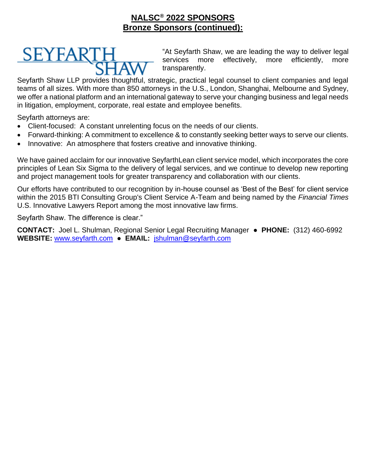

"At Seyfarth Shaw, we are leading the way to deliver legal services more effectively, more efficiently, more transparently.

Seyfarth Shaw LLP provides thoughtful, strategic, practical legal counsel to client companies and legal teams of all sizes. With more than 850 attorneys in the U.S., London, Shanghai, Melbourne and Sydney, we offer a national platform and an international gateway to serve your changing business and legal needs in litigation, employment, corporate, real estate and employee benefits.

Seyfarth attorneys are:

- Client-focused: A constant unrelenting focus on the needs of our clients.
- Forward-thinking: A commitment to excellence & to constantly seeking better ways to serve our clients.
- Innovative: An atmosphere that fosters creative and innovative thinking.

We have gained acclaim for our innovative SeyfarthLean client service model, which incorporates the core principles of Lean Six Sigma to the delivery of legal services, and we continue to develop new reporting and project management tools for greater transparency and collaboration with our clients.

Our efforts have contributed to our recognition by in-house counsel as 'Best of the Best' for client service within the 2015 BTI Consulting Group's Client Service A-Team and being named by the *Financial Times* U.S. Innovative Lawyers Report among the most innovative law firms.

Seyfarth Shaw. The difference is clear."

**CONTACT:** Joel L. Shulman, Regional Senior Legal Recruiting Manager ● **PHONE:** (312) 460-6992 **WEBSITE:** [www.seyfarth.com](http://www.seyfarth.com/) ● **EMAIL:** [jshulman@seyfarth.com](mailto:jshulman@seyfarth.com)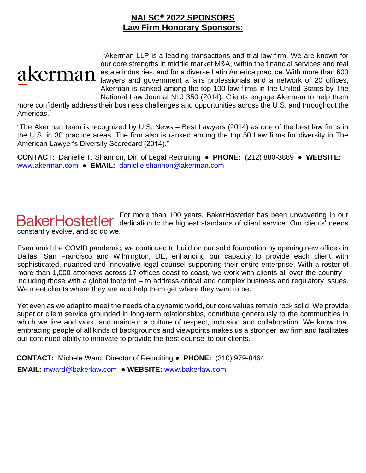### **NALSC® 2022 SPONSORS Law Firm Honorary Sponsors:**



"Akerman LLP is a leading transactions and trial law firm. We are known for our core strengths in middle market M&A, within the financial services and real estate industries, and for a diverse Latin America practice. With more than 600 lawyers and government affairs professionals and a network of 20 offices, Akerman is ranked among the top 100 law firms in the United States by The National Law Journal NLJ 350 (2014). Clients engage Akerman to help them

more confidently address their business challenges and opportunities across the U.S. and throughout the Americas."

"The Akerman team is recognized by U.S. News – Best Lawyers (2014) as one of the best law firms in the U.S. in 30 practice areas. The firm also is ranked among the top 50 Law firms for diversity in The American Lawyer's Diversity Scorecard (2014)."

**CONTACT:** Danielle T. Shannon, Dir. of Legal Recruiting ● **PHONE:** (212) 880-3889 ● **WEBSITE:** [www.akerman.com](http://www.akerman.com/) ● **EMAIL:** [danielle.shannon@akerman.com](mailto:danielle.shannon@akerman.com)

For more than 100 years, BakerHostetler has been unwavering in our dedication to the highest standards of client service. Our clients' needs constantly evolve, and so do we.

Even amid the COVID pandemic, we continued to build on our solid foundation by opening new offices in Dallas, San Francisco and Wilmington, DE, enhancing our capacity to provide each client with sophisticated, nuanced and innovative legal counsel supporting their entire enterprise. With a roster of more than 1,000 attorneys across 17 offices coast to coast, we work with clients all over the country including those with a global footprint – to address critical and complex business and regulatory issues. We meet clients where they are and help them get where they want to be.

Yet even as we adapt to meet the needs of a dynamic world, our core values remain rock solid: We provide superior client service grounded in long-term relationships, contribute generously to the communities in which we live and work, and maintain a culture of respect, inclusion and collaboration. We know that embracing people of all kinds of backgrounds and viewpoints makes us a stronger law firm and facilitates our continued ability to innovate to provide the best counsel to our clients.

**CONTACT:** Michele Ward, Director of Recruiting ● **PHONE:** (310) 979-8464 **EMAIL:** [mward@bakerlaw.com](mailto:mward@bakerlaw.com) ● **WEBSITE:** [www.bakerlaw.com](http://www.bakerlaw.com/)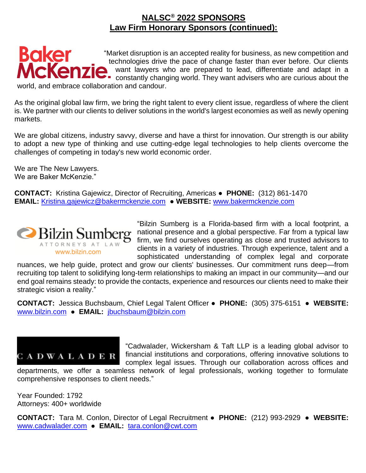

world, and embrace collaboration and candour.

As the original global law firm, we bring the right talent to every client issue, regardless of where the client is. We partner with our clients to deliver solutions in the world's largest economies as well as newly opening markets.

We are global citizens, industry savvy, diverse and have a thirst for innovation. Our strength is our ability to adopt a new type of thinking and use cutting-edge legal technologies to help clients overcome the challenges of competing in today's new world economic order.

We are The New Lawyers. We are Baker McKenzie."

**CONTACT:** Kristina Gajewicz, Director of Recruiting, Americas ● **PHONE:** (312) 861-1470 **EMAIL:** [Kristina.gajewicz@bakermckenzie.com](mailto:Kristina.gajewicz@bakermckenzie.com) ● **WEBSITE:** [www.bakermckenzie.com](http://www.bakermckenzie.com/)



"Bilzin Sumberg is a Florida-based firm with a local footprint, a national presence and a global perspective. Far from a typical law firm, we find ourselves operating as close and trusted advisors to clients in a variety of industries. Through experience, talent and a sophisticated understanding of complex legal and corporate

nuances, we help guide, protect and grow our clients' businesses. Our commitment runs deep—from recruiting top talent to solidifying long-term relationships to making an impact in our community—and our end goal remains steady: to provide the contacts, experience and resources our clients need to make their strategic vision a reality."

**CONTACT:** Jessica Buchsbaum, Chief Legal Talent Officer ● **PHONE:** (305) 375-6151 ● **WEBSITE:** [www.bilzin.com](http://www.bilzin.com/) ● **EMAIL:** [jbuchsbaum@bilzin.com](mailto:jbuchsbaum@bilzin.com)



"Cadwalader, Wickersham & Taft LLP is a leading global advisor to financial institutions and corporations, offering innovative solutions to complex legal issues. Through our collaboration across offices and

departments, we offer a seamless network of legal professionals, working together to formulate comprehensive responses to client needs."

Year Founded: 1792 Attorneys: 400+ worldwide

**CONTACT:** Tara M. Conlon, Director of Legal Recruitment ● **PHONE:** (212) 993-2929 ● **WEBSITE:** [www.cadwalader.com](http://www.cadwalader.com/) ● **EMAIL:** [tara.conlon@cwt.com](mailto:tara.conlon@cwt.com)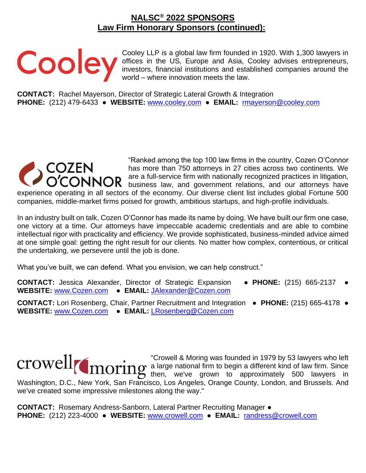Cooley LLP is a global law firm founded in 1920. With 1,300 lawyers in offices in the US, Europe and Asia, Cooley advises entrepreneurs, investors, financial institutions and established companies around the world – where innovation meets the law.

**CONTACT:** Rachel Mayerson, Director of Strategic Lateral Growth & Integration **PHONE:** (212) 479-6433 ● WEBSITE: [www.cooley.com](http://www.cooley.com/) ● EMAIL: [rmayerson@cooley.com](mailto:rmayerson@cooley.com)



"Ranked among the top 100 law firms in the country, Cozen O'Connor has more than 750 attorneys in 27 cities across two continents. We are a full-service firm with nationally recognized practices in litigation, business law, and government relations, and our attorneys have experience operating in all sectors of the economy. Our diverse client list includes global Fortune 500 companies, middle-market firms poised for growth, ambitious startups, and high-profile individuals.

In an industry built on talk, Cozen O'Connor has made its name by doing. We have built our firm one case, one victory at a time. Our attorneys have impeccable academic credentials and are able to combine intellectual rigor with practicality and efficiency. We provide sophisticated, business-minded advice aimed at one simple goal: getting the right result for our clients. No matter how complex, contentious, or critical the undertaking, we persevere until the job is done.

What you've built, we can defend. What you envision, we can help construct."

**CONTACT:** Jessica Alexander, Director of Strategic Expansion ● **PHONE:** (215) 665-2137 ● **WEBSITE:** [www.Cozen.com](http://www.cozen.com/) ● **EMAIL:** [JAlexander@Cozen.com](mailto:JAlexander@Cozen.com)

**CONTACT:** Lori Rosenberg, Chair, Partner Recruitment and Integration ● **PHONE:** (215) 665-4178 ● **WEBSITE:** [www.Cozen.com](http://www.cozen.com/) ● **EMAIL:** [LRosenberg@Cozen.com](mailto:LRosenberg@Cozen.com)

"Crowell & Moring was founded in 1979 by 53 lawyers who left a large national firm to begin a different kind of law firm. Since then, we've grown to approximately 500 lawyers in Washington, D.C., New York, San Francisco, Los Angeles, Orange County, London, and Brussels. And we've created some impressive milestones along the way."

**CONTACT:** Rosemary Andress-Sanborn, Lateral Partner Recruiting Manager ● **PHONE:** (212) 223-4000 ● **WEBSITE:** [www.crowell.com](http://www.crowell.com/) ● **EMAIL:** [randress@crowell.com](mailto:randress@crowell.com)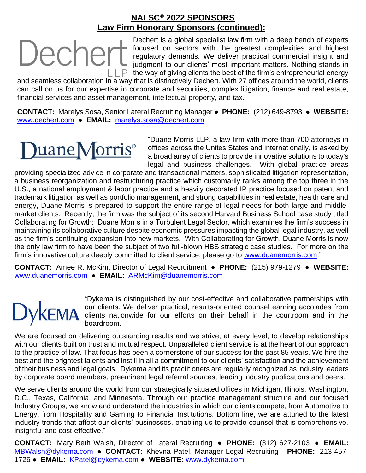Dechert

Dechert is a global specialist law firm with a deep bench of experts focused on sectors with the greatest complexities and highest regulatory demands. We deliver practical commercial insight and judgment to our clients' most important matters. Nothing stands in  $\Box$   $\Box$   $\Box$  The way of giving clients the best of the firm's entrepreneurial energy

and seamless collaboration in a way that is distinctively Dechert. With 27 offices around the world, clients can call on us for our expertise in corporate and securities, complex litigation, finance and real estate, financial services and asset management, intellectual property, and tax.

**CONTACT:** Marelys Sosa, Senior Lateral Recruiting Manager ● **PHONE:** (212) 649-8793 ● **WEBSITE:** [www.dechert.com](http://www.dechert.com/) ● **EMAIL:** [marelys.sosa@dechert.com](mailto:marelys.sosa@dechert.com)

## DuaneMorris®

"Duane Morris LLP, a law firm with more than 700 attorneys in offices across the Unites States and internationally, is asked by a broad array of clients to provide innovative solutions to today's legal and business challenges. With global practice areas

providing specialized advice in corporate and transactional matters, sophisticated litigation representation, a business reorganization and restructuring practice which customarily ranks among the top three in the U.S., a national employment & labor practice and a heavily decorated IP practice focused on patent and trademark litigation as well as portfolio management, and strong capabilities in real estate, health care and energy, Duane Morris is prepared to support the entire range of legal needs for both large and middlemarket clients. Recently, the firm was the subject of its second Harvard Business School case study titled Collaborating for Growth: Duane Morris in a Turbulent Legal Sector, which examines the firm's success in maintaining its collaborative culture despite economic pressures impacting the global legal industry, as well as the firm's continuing expansion into new markets. With Collaborating for Growth, Duane Morris is now the only law firm to have been the subject of two full-blown HBS strategic case studies. For more on the firm's innovative culture deeply committed to client service, please go to [www.duanemorris.com.](http://www.duanemorris.com/)"

**CONTACT:** Amee R. McKim, Director of Legal Recruitment ● **PHONE:** (215) 979-1279 ● **WEBSITE:** [www.duanemorris.com](http://www.duanemorris.com/) ● **EMAIL:** [ARMcKim@duanemorris.com](mailto:ARMcKim@duanemorris.com)

"Dykema is distinguished by our cost-effective and collaborative partnerships with our clients. We deliver practical, results-oriented counsel earning accolades from clients nationwide for our efforts on their behalf in the courtroom and in the boardroom.

We are focused on delivering outstanding results and we strive, at every level, to develop relationships with our clients built on trust and mutual respect. Unparalleled client service is at the heart of our approach to the practice of law. That focus has been a cornerstone of our success for the past 85 years. We hire the best and the brightest talents and instill in all a commitment to our clients' satisfaction and the achievement of their business and legal goals. Dykema and its practitioners are regularly recognized as industry leaders by corporate board members, preeminent legal referral sources, leading industry publications and peers.

We serve clients around the world from our strategically situated offices in Michigan, Illinois, Washington, D.C., Texas, California, and Minnesota. Through our practice management structure and our focused Industry Groups, we know and understand the industries in which our clients compete, from Automotive to Energy, from Hospitality and Gaming to Financial Institutions. Bottom line, we are attuned to the latest industry trends that affect our clients' businesses, enabling us to provide counsel that is comprehensive, insightful and cost-effective."

**CONTACT:** Mary Beth Walsh, Director of Lateral Recruiting ● **PHONE:** (312) 627-2103 ● **EMAIL:** [MBWalsh@dykema.com](mailto:MBWalsh@dykema.com) ● **CONTACT:** Khevna Patel, Manager Legal Recruiting **PHONE:** 213-457- 1726 ● **EMAIL:** [KPatel@dykema.com](mailto:KPatel@dykema.com) ● **WEBSITE:** [www.dykema.com](http://www.dykema.com/)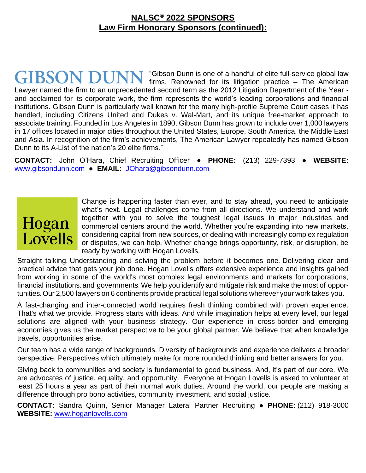"Gibson Dunn is one of a handful of elite full-service global law firms. Renowned for its litigation practice – The American Lawyer named the firm to an unprecedented second term as the 2012 Litigation Department of the Year and acclaimed for its corporate work, the firm represents the world's leading corporations and financial institutions. Gibson Dunn is particularly well known for the many high-profile Supreme Court cases it has handled, including Citizens United and Dukes v. Wal-Mart, and its unique free-market approach to associate training. Founded in Los Angeles in 1890, Gibson Dunn has grown to include over 1,000 lawyers in 17 offices located in major cities throughout the United States, Europe, South America, the Middle East and Asia. In recognition of the firm's achievements, The American Lawyer repeatedly has named Gibson Dunn to its A-List of the nation's 20 elite firms."

**CONTACT:** John O'Hara, Chief Recruiting Officer ● **PHONE:** (213) 229-7393 ● **WEBSITE:** [www.gibsondunn.com](http://www.gibsondunn.com/) ● **EMAIL:** [JOhara@gibsondunn.com](mailto:JOhara@gibsondunn.com)

## Hogan **Lovells**

Change is happening faster than ever, and to stay ahead, you need to anticipate what's next. Legal challenges come from all directions. We understand and work together with you to solve the toughest legal issues in major industries and commercial centers around the world. Whether you're expanding into new markets, considering capital from new sources, or dealing with increasingly complex regulation or disputes, we can help. Whether change brings opportunity, risk, or disruption, be ready by working with Hogan Lovells.

Straight talking. Understanding and solving the problem before it becomes one. Delivering clear and practical advice that gets your job done. Hogan Lovells offers extensive experience and insights gained from working in some of the world's most complex legal environments and markets for corporations, financial institutions, and governments. We help you identify and mitigate risk and make the most of opportunities. Our 2,500 lawyers on 6 continents provide practical legal solutions wherever your work takes you.

A fast-changing and inter-connected world requires fresh thinking combined with proven experience. That's what we provide. Progress starts with ideas. And while imagination helps at every level, our legal solutions are aligned with your business strategy. Our experience in cross-border and emerging economies gives us the market perspective to be your global partner. We believe that when knowledge travels, opportunities arise.

Our team has a wide range of backgrounds. Diversity of backgrounds and experience delivers a broader perspective. Perspectives which ultimately make for more rounded thinking and better answers for you.

Giving back to communities and society is fundamental to good business. And, it's part of our core. We are advocates of justice, equality, and opportunity. Everyone at Hogan Lovells is asked to volunteer at least 25 hours a year as part of their normal work duties. Around the world, our people are making a difference through pro bono activities, community investment, and social justice.

**CONTACT:** Sandra Quinn, Senior Manager Lateral Partner Recruiting ● **PHONE:** (212) 918-3000 **WEBSITE:** [www.hoganlovells.com](http://www.hoganlovells.com/)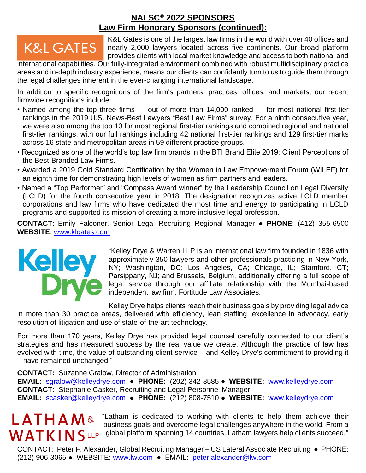### **K&L GATES**

K&L Gates is one of the largest law firms in the world with over 40 offices and nearly 2,000 lawyers located across five continents. Our broad platform provides clients with local market knowledge and access to both national and

international capabilities. Our fully-integrated environment combined with robust multidisciplinary practice areas and in-depth industry experience, means our clients can confidently turn to us to guide them through the legal challenges inherent in the ever-changing international landscape.

In addition to specific recognitions of the firm's partners, practices, offices, and markets, our recent firmwide recognitions include:

- Named among the top three firms out of more than 14,000 ranked for most national first-tier rankings in the 2019 U.S. News-Best Lawyers "Best Law Firms" survey. For a ninth consecutive year, we were also among the top 10 for most regional first-tier rankings and combined regional and national first-tier rankings, with our full rankings including 42 national first-tier rankings and 129 first-tier marks across 16 state and metropolitan areas in 59 different practice groups.
- Recognized as one of the world's top law firm brands in the BTI Brand Elite 2019: Client Perceptions of the Best-Branded Law Firms.
- Awarded a 2019 Gold Standard Certification by the Women in Law Empowerment Forum (WILEF) for an eighth time for demonstrating high levels of women as firm partners and leaders.
- Named a "Top Performer" and "Compass Award winner" by the Leadership Council on Legal Diversity (LCLD) for the fourth consecutive year in 2018. The designation recognizes active LCLD member corporations and law firms who have dedicated the most time and energy to participating in LCLD programs and supported its mission of creating a more inclusive legal profession.

**CONTACT**: Emily Falconer, Senior Legal Recruiting Regional Manager ● **PHONE**: (412) 355-6500 **WEBSITE**: [www.klgates.com](http://www.klgates.com/)



"Kelley Drye & Warren LLP is an international law firm founded in 1836 with approximately 350 lawyers and other professionals practicing in New York, NY; Washington, DC; Los Angeles, CA; Chicago, IL; Stamford, CT; Parsippany, NJ; and Brussels, Belgium, additionally offering a full scope of legal service through our affiliate relationship with the Mumbai-based independent law firm, Fortitude Law Associates.

Kelley Drye helps clients reach their business goals by providing legal advice in more than 30 practice areas, delivered with efficiency, lean staffing, excellence in advocacy, early resolution of litigation and use of state-of-the-art technology.

For more than 170 years, Kelley Drye has provided legal counsel carefully connected to our client's strategies and has measured success by the real value we create. Although the practice of law has evolved with time, the value of outstanding client service – and Kelley Drye's commitment to providing it – have remained unchanged."

**CONTACT:** Suzanne Gralow, Director of Administration **EMAIL:** [sgralow@kelleydrye.com](mailto:sgralow@kelleydrye.com) **● PHONE:** (202) 342-8585 **● WEBSITE:** [www.kelleydrye.com](http://www.kelleydrye.com/) **CONTACT:** Stephanie Casker, Recruiting and Legal Personnel Manager **EMAIL:** [scasker@kelleydrye.com](mailto:scasker@kelleydrye.com) **● PHONE:** (212) 808-7510 **● WEBSITE:** [www.kelleydrye.com](http://www.kelleydrye.com/)

# **LATHAM&**

"Latham is dedicated to working with clients to help them achieve their business goals and overcome legal challenges anywhere in the world. From a WATKINSLP global platform spanning 14 countries, Latham lawyers help clients succeed."

CONTACT: Peter F. Alexander, Global Recruiting Manager – US Lateral Associate Recruiting ● PHONE: (212) 906-3065 ● WEBSITE: [www.lw.com](http://www.lw.com/) ● EMAIL: [peter.alexander@lw.com](mailto:peter.alexander@lw.com)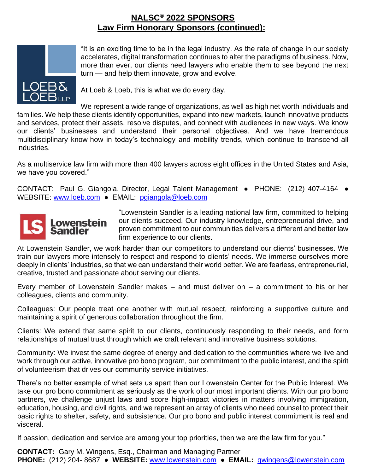

"It is an exciting time to be in the legal industry. As the rate of change in our society accelerates, digital transformation continues to alter the paradigms of business. Now, more than ever, our clients need lawyers who enable them to see beyond the next turn — and help them innovate, grow and evolve.

At Loeb & Loeb, this is what we do every day.

We represent a wide range of organizations, as well as high net worth individuals and families. We help these clients identify opportunities, expand into new markets, launch innovative products and services, protect their assets, resolve disputes, and connect with audiences in new ways. We know our clients' businesses and understand their personal objectives. And we have tremendous multidisciplinary know-how in today's technology and mobility trends, which continue to transcend all industries.

As a multiservice law firm with more than 400 lawyers across eight offices in the United States and Asia, we have you covered."

CONTACT: Paul G. Giangola, Director, Legal Talent Management ● PHONE: (212) 407-4164 ● WEBSITE: [www.loeb.com](http://www.loeb.com/) • EMAIL: [pgiangola@loeb.com](mailto:pgiangola@loeb.com)



"Lowenstein Sandler is a leading national law firm, committed to helping our clients succeed. Our industry knowledge, entrepreneurial drive, and proven commitment to our communities delivers a different and better law firm experience to our clients.

At Lowenstein Sandler, we work harder than our competitors to understand our clients' businesses. We train our lawyers more intensely to respect and respond to clients' needs. We immerse ourselves more deeply in clients' industries, so that we can understand their world better. We are fearless, entrepreneurial, creative, trusted and passionate about serving our clients.

Every member of Lowenstein Sandler makes  $-$  and must deliver on  $-$  a commitment to his or her colleagues, clients and community.

Colleagues: Our people treat one another with mutual respect, reinforcing a supportive culture and maintaining a spirit of generous collaboration throughout the firm.

Clients: We extend that same spirit to our clients, continuously responding to their needs, and form relationships of mutual trust through which we craft relevant and innovative business solutions.

Community: We invest the same degree of energy and dedication to the communities where we live and work through our active, innovative pro bono program, our commitment to the public interest, and the spirit of volunteerism that drives our community service initiatives.

There's no better example of what sets us apart than our Lowenstein Center for the Public Interest. We take our pro bono commitment as seriously as the work of our most important clients. With our pro bono partners, we challenge unjust laws and score high-impact victories in matters involving immigration, education, housing, and civil rights, and we represent an array of clients who need counsel to protect their basic rights to shelter, safety, and subsistence. Our pro bono and public interest commitment is real and visceral.

If passion, dedication and service are among your top priorities, then we are the law firm for you."

**CONTACT:** Gary M. Wingens, Esq., Chairman and Managing Partner **PHONE:** (212) 204- 8687 ● **WEBSITE:** [www.lowenstein.com](http://www.lowenstein.com/) ● **EMAIL:** [gwingens@lowenstein.com](mailto:gwingens@lowenstein.com)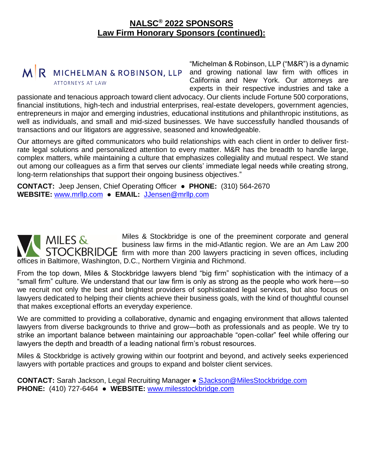

"Michelman & Robinson, LLP ("M&R") is a dynamic and growing national law firm with offices in California and New York. Our attorneys are experts in their respective industries and take a

passionate and tenacious approach toward client advocacy. Our clients include Fortune 500 corporations, financial institutions, high-tech and industrial enterprises, real-estate developers, government agencies, entrepreneurs in major and emerging industries, educational institutions and philanthropic institutions, as well as individuals, and small and mid-sized businesses. We have successfully handled thousands of transactions and our litigators are aggressive, seasoned and knowledgeable.

Our attorneys are gifted communicators who build relationships with each client in order to deliver firstrate legal solutions and personalized attention to every matter. M&R has the breadth to handle large, complex matters, while maintaining a culture that emphasizes collegiality and mutual respect. We stand out among our colleagues as a firm that serves our clients' immediate legal needs while creating strong, long-term relationships that support their ongoing business objectives."

**CONTACT:** Jeep Jensen, Chief Operating Officer ● **PHONE:** (310) 564-2670 **WEBSITE:** [www.mrllp.com](http://www.mrllp.com/) ● **EMAIL:** [JJensen@mrllp.com](mailto:JJensen@mrllp.com)

Miles & Stockbridge is one of the preeminent corporate and general MILES & business law firms in the mid-Atlantic region. We are an Am Law 200 firm with more than 200 lawyers practicing in seven offices, including offices in Baltimore, Washington, D.C., Northern Virginia and Richmond.

From the top down, Miles & Stockbridge lawyers blend "big firm" sophistication with the intimacy of a "small firm" culture. We understand that our law firm is only as strong as the people who work here—so we recruit not only the best and brightest providers of sophisticated legal services, but also focus on lawyers dedicated to helping their clients achieve their business goals, with the kind of thoughtful counsel that makes exceptional efforts an everyday experience.

We are committed to providing a collaborative, dynamic and engaging environment that allows talented lawyers from diverse backgrounds to thrive and grow—both as professionals and as people. We try to strike an important balance between maintaining our approachable "open-collar" feel while offering our lawyers the depth and breadth of a leading national firm's robust resources.

Miles & Stockbridge is actively growing within our footprint and beyond, and actively seeks experienced lawyers with portable practices and groups to expand and bolster client services.

**CONTACT:** Sarah Jackson, Legal Recruiting Manager ● [SJackson@MilesStockbridge.com](mailto:SJackson@MilesStockbridge.com) **PHONE:** (410) 727-6464 ● **WEBSITE:** [www.milesstockbridge.com](http://www.milesstockbridge.com/)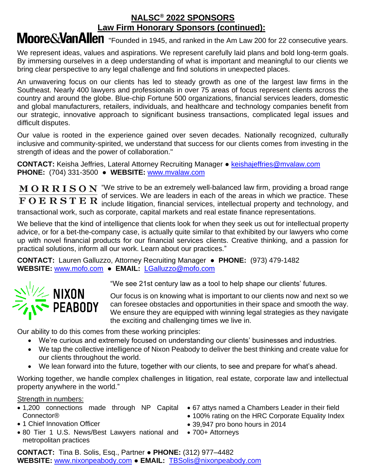### Moore&VanAllen "Founded in 1945, and ranked in the Am Law 200 for 22 consecutive years.

We represent ideas, values and aspirations. We represent carefully laid plans and bold long-term goals. By immersing ourselves in a deep understanding of what is important and meaningful to our clients we bring clear perspective to any legal challenge and find solutions in unexpected places.

An unwavering focus on our clients has led to steady growth as one of the largest law firms in the Southeast. Nearly 400 lawyers and professionals in over 75 areas of focus represent clients across the country and around the globe. Blue-chip Fortune 500 organizations, financial services leaders, domestic and global manufacturers, retailers, individuals, and healthcare and technology companies benefit from our strategic, innovative approach to significant business transactions, complicated legal issues and difficult disputes.

Our value is rooted in the experience gained over seven decades. Nationally recognized, culturally inclusive and community-spirited, we understand that success for our clients comes from investing in the strength of ideas and the power of collaboration."

**CONTACT:** Keisha Jeffries, Lateral Attorney Recruiting Manager • [keishajeffries@mvalaw.com](mailto:keishajeffries@mvalaw.com) **PHONE:** (704) 331-3500 ● **WEBSITE:** [www.mvalaw.com](http://www.mvalaw.com/)

 $\bf{M}$   $\bf{O}$   $\bf{R}$   $\bf{R}$   $\bf{I}$   $\bf{S}$   $\bf{O}$   $\bf{N}$  "We strive to be an extremely well-balanced law firm, providing a broad range of services. We are leaders in each of the areas in which we practice. These include litigation, financial services, intellectual property and technology, and transactional work, such as corporate, capital markets and real estate finance representations.

We believe that the kind of intelligence that clients look for when they seek us out for intellectual property advice, or for a bet-the-company case, is actually quite similar to that exhibited by our lawyers who come up with novel financial products for our financial services clients. Creative thinking, and a passion for practical solutions, inform all our work. Learn about our practices."

**CONTACT:** Lauren Galluzzo, Attorney Recruiting Manager ● **PHONE:** (973) 479-1482 **WEBSITE:** [www.mofo.com](http://www.mofo.com/) ● **EMAIL:** [LGalluzzo@mofo.com](mailto:LGalluzzo@mofo.com)



"We see 21st century law as a tool to help shape our clients' futures.

Our focus is on knowing what is important to our clients now and next so we can foresee obstacles and opportunities in their space and smooth the way. We ensure they are equipped with winning legal strategies as they navigate the exciting and challenging times we live in.

Our ability to do this comes from these working principles:

- We're curious and extremely focused on understanding our clients' businesses and industries.
- We tap the collective intelligence of Nixon Peabody to deliver the best thinking and create value for our clients throughout the world.
- We lean forward into the future, together with our clients, to see and prepare for what's ahead.

Working together, we handle complex challenges in litigation, real estate, corporate law and intellectual property anywhere in the world."

### Strength in numbers:

- 1,200 connections made through NP Capital 67 attys named a Chambers Leader in their field Connector®
- 1 Chief Innovation Officer
- 80 Tier 1 U.S. News/Best Lawyers national and metropolitan practices
- 
- 100% rating on the HRC Corporate Equality Index
- 39,947 pro bono hours in 2014
- 700+ Attorneys

**CONTACT:** Tina B. Solis, Esq., Partner ● **PHONE:** (312) 977–4482 **WEBSITE:** [www.nixonpeabody.com](http://www.nixonpeabody.com/) ● **EMAIL:** [TBSolis@nixonpeabody.com](mailto:TBSolis@nixonpeabody.com)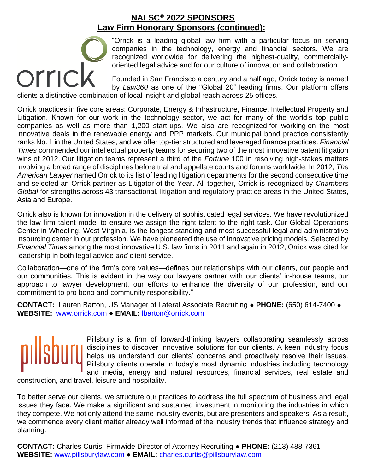"Orrick is a leading global law firm with a particular focus on serving companies in the technology, energy and financial sectors. We are recognized worldwide for delivering the highest-quality, commerciallyoriented legal advice and for our culture of innovation and collaboration. recognized worldwide for delivering the highest-correct oriented legal advice and for our culture of innovation<br>Founded in San Francisco a century and a half ago,<br>by Law360 as one of the "Global 20" leading firms<br>clients a

Founded in San Francisco a century and a half ago, Orrick today is named by *Law360* as one of the "Global 20" leading firms. Our platform offers

Orrick practices in five core areas: Corporate, Energy & Infrastructure, Finance, Intellectual Property and Litigation. Known for our work in the technology sector, we act for many of the world's top public companies as well as more than 1,200 start-ups. We also are recognized for working on the most innovative deals in the renewable energy and PPP markets. Our municipal bond practice consistently ranks No. 1 in the United States, and we offer top-tier structured and leveraged finance practices. *Financial Times* commended our intellectual property teams for securing two of the most innovative patent litigation wins of 2012. Our litigation teams represent a third of the *Fortune* 100 in resolving high-stakes matters involving a broad range of disciplines before trial and appellate courts and forums worldwide. In 2012, *The American Lawyer* named Orrick to its list of leading litigation departments for the second consecutive time and selected an Orrick partner as Litigator of the Year. All together, Orrick is recognized by *Chambers Global* for strengths across 43 transactional, litigation and regulatory practice areas in the United States, Asia and Europe.

Orrick also is known for innovation in the delivery of sophisticated legal services. We have revolutionized the law firm talent model to ensure we assign the right talent to the right task. Our Global Operations Center in Wheeling, West Virginia, is the longest standing and most successful legal and administrative insourcing center in our profession. We have pioneered the use of innovative pricing models. Selected by *Financial Times* among the most innovative U.S. law firms in 2011 and again in 2012, Orrick was cited for leadership in both legal advice *and* client service.

Collaboration—one of the firm's core values—defines our relationships with our clients, our people and our communities. This is evident in the way our lawyers partner with our clients' in-house teams, our approach to lawyer development, our efforts to enhance the diversity of our profession, and our commitment to pro bono and community responsibility."

**CONTACT:** Lauren Barton, US Manager of Lateral Associate Recruiting ● **PHONE:** (650) 614-7400 ● **WEBSITE:** [www.orrick.com](http://www.orrick.com/) ● **EMAIL:** [lbarton@orrick.com](mailto:lbarton@orrick.com)

Pillsbury is a firm of forward-thinking lawyers collaborating seamlessly across disciplines to discover innovative solutions for our clients. A keen industry focus helps us understand our clients' concerns and proactively resolve their issues. Pillsbury clients operate in today's most dynamic industries including technology and media, energy and natural resources, financial services, real estate and

construction, and travel, leisure and hospitality.

To better serve our clients, we structure our practices to address the full spectrum of business and legal issues they face. We make a significant and sustained investment in monitoring the industries in which they compete. We not only attend the same industry events, but are presenters and speakers. As a result, we commence every client matter already well informed of the industry trends that influence strategy and planning.

**CONTACT:** Charles Curtis, Firmwide Director of Attorney Recruiting ● **PHONE:** (213) 488-7361 **WEBSITE:** [www.pillsburylaw.com](http://www.pillsburylaw.com/) ● **EMAIL:** [charles.curtis@pillsburylaw.com](mailto:charles.curtis@pillsburylaw.com)